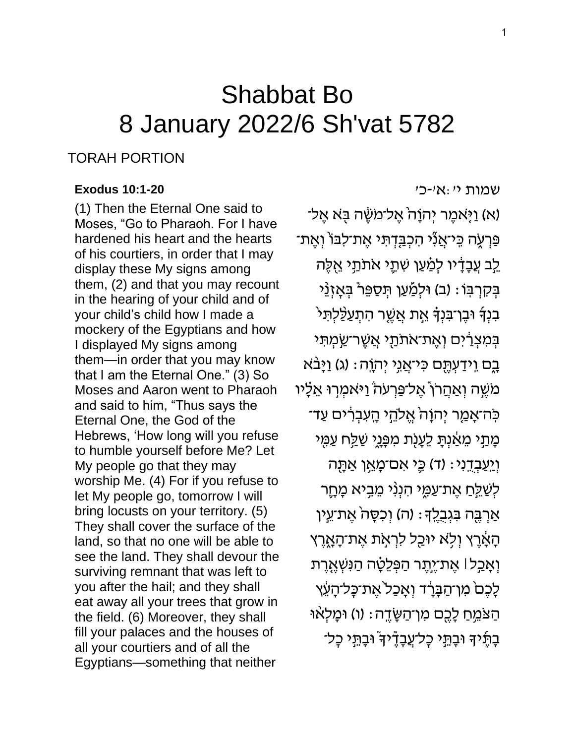# Shabbat Bo 8 January 2022/6 Sh'vat 5782

### TORAH PORTION

#### **[Exodus 10:1-20](https://www.sefaria.org/Exodus.10.1-20)**

(1) Then the Eternal One said to Moses, "Go to Pharaoh. For I have hardened his heart and the hearts of his courtiers, in order that I may display these My signs among them, (2) and that you may recount in the hearing of your child and of your child's child how I made a mockery of the Egyptians and how I displayed My signs among them—in order that you may know that I am the Eternal One." (3) So Moses and Aaron went to Pharaoh and said to him, "Thus says the Eternal One, the God of the Hebrews, 'How long will you refuse to humble yourself before Me? Let My people go that they may worship Me. (4) For if you refuse to let My people go, tomorrow I will bring locusts on your territory. (5) They shall cover the surface of the land, so that no one will be able to see the land. They shall devour the surviving remnant that was left to you after the hail; and they shall eat away all your trees that grow in the field. (6) Moreover, they shall fill your palaces and the houses of all your courtiers and of all the Egyptians—something that neither

[שמות](https://www.sefaria.org/Exodus.10.1-20) [י׳:א׳-כ׳](https://www.sefaria.org/Exodus.10.1-20)

(א) וַיְּאמֶר יִהוָהֹ אֱל־מֹשֶׂה בְּא אֱל־ ּפַּרְעֶׂה כִּי־אֲנִ̈י הִכְבַּדְתִּי אֶת־לִבּוֹ וְאֶת־ לֵב עֲבָדָ<sup>ּ</sup>יו לְמַַעַן שִׁתֵ*ֶּי* אׂתֹתַי אֵלֵה בְקִרְבְּוֹ : (ב) וּלְמַַעַן תְּסַפֵּר בְּאָזְנֵי ּבִנְדְּ וּבֵן־בִּנְדְּ אֱת אֲשֱר הִתְעַלֵּלִתִּי בִּמְצְרַ֫יִּם וְאֵת־אֹתֹתַ*ִּי אֲשֶר־שַ*ֹּמְתִּי בֶם וֵידַעְתֶּם כִּי־אֲגֵי יְהוֶה: (ג) וַיָּבֹא מֹשֶׁה וְאַהֲרֹןْ אֶל־פַּרְעֹהֹ וַיּאמְרָוּ אֵלָיו ֹכְּה־אָמַר יְהוָהֹ אֱלֹהֵי הָעִבְרִים עַד־ מָתַי מֵאַׁנְתָּ לֵעָנָת מִפָּנֵי שַׁלַּח עַמִּי וְ יֵעֲבְדֶנִי: (ד) כֵּי אִם־מַאֵן אַתַּה ַלְשַׁלֵּחַ אֱת־עַמֶּי הִנְנִי מֶבֵיא מַחֵר ֹאַרְבֶּה בְּגְבְלֵךְ: (ה) וְכִסָּה אֱת־עֵין ֿהָאָרֶץ וְלָׂא יוּכַל לִרְאָת אֶת־הָאֶרֶץ וְ אָכַל l אֵת־יֵיְתֵר הַפְּלֵטָה הַנִּשְׁאֶרֵת לָכֶם מִן־הַבָּרָד וְאָכַל אֶת־כָּל־הָעֵׁץ ֿהַצֹּמֵחַ לָכֶם מְוֹ־הַשֶּׂדֶה: (ו) וּמַלְאֵוּ ּבַתֱיִּדְ וּבַתֱי כַל־עֲבָדֶ֫יךָ וּבַתֵּי כָל־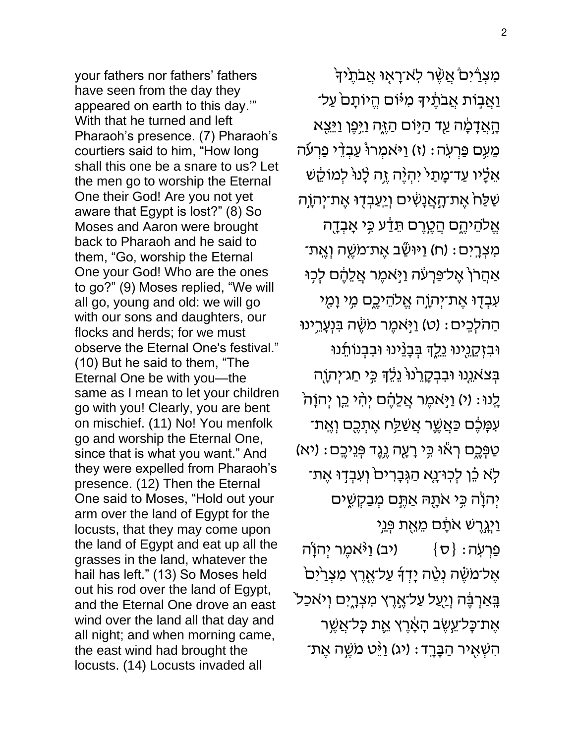your fathers nor fathers' fathers have seen from the day they appeared on earth to this day.'" With that he turned and left Pharaoh's presence. (7) Pharaoh's courtiers said to him, "How long shall this one be a snare to us? Let the men go to worship the Eternal One their God! Are you not yet aware that Egypt is lost?" (8) So Moses and Aaron were brought back to Pharaoh and he said to them, "Go, worship the Eternal One your God! Who are the ones to go?" (9) Moses replied, "We will all go, young and old: we will go with our sons and daughters, our flocks and herds; for we must observe the Eternal One's festival." (10) But he said to them, "The Eternal One be with you—the same as I mean to let your children go with you! Clearly, you are bent on mischief. (11) No! You menfolk go and worship the Eternal One, since that is what you want." And they were expelled from Pharaoh's presence. (12) Then the Eternal One said to Moses, "Hold out your arm over the land of Egypt for the locusts, that they may come upon the land of Egypt and eat up all the grasses in the land, whatever the hail has left." (13) So Moses held out his rod over the land of Egypt, and the Eternal One drove an east wind over the land all that day and all night; and when morning came, the east wind had brought the locusts. (14) Locusts invaded all

ֹמִצְרַיִּם אֲשֶׁר לְאֹ־רָאָוּ אֲבֹתֶיךּ וַאֲבָוֹת אֲבֹתֶׁיךָּ מִיּּוֹם הֱיוֹתָם עַל־ ֿהָאֲדָמָה עַד הַיָּוֹם הַיֶּה וַיִּפֶן וַיֵּצֵא ּמֵעֶם פַּרְעָׂה: (ז) וַיּאמְרוּ עַבְדֵי פַרְעֹה אַלָּיו עַד־מָתַי<sup>י</sup> יִהְיֶּה זֶה לָנוּ לְמוֹקֵשׁ שַׁלַּחׂ אֶת־הָאֲנָשִׁים וְ<u>יַעַבְדָ</u>וּ אֶת־יְהוָה אֱלֹהֵיהֶם הֲטֶרֶם תֵּדַע כִּי אָבְדֶה ֹמִצְרָיִם: (ח) וַיּוּשַׁב אֶת־מֹשֶׁה וְאֶת־ אַהֲרֹן**´ אֶל־פַּרְעָׂה וַי**ָּאמֶר אֲלֵהֶם לְכָוּ עִבְדָוּ אֶת־יְהְוָה אֱלֹהֵיכֶם מֵ*י*ּ וָמֶי ֿהַהֹלְכֵים: (ט) וַיְּאמֶר מֹשֶׂה בִּנְעָרֵינוּ ּוּבִזְקֵגֵינוּ גֵלֱךְ בְּבָנֵינוּ וּבִבְנוֹתֵנוּ בְּצֹאנֵנוּ וּבִבְקָרֵׂנוּ נֵלֵדְ כִּי חַג־יְהוָה ֹלְנוּ: (י) וַיְּאמֶר אֲלֵהֶ֫ם יְהָ֫י בֵן יְהוָהֹ ֹעִמָּבֶֶׁ֫ם כַּאֲשֶׁר אֲשַׁלַַּח אֶתְכֶֻם וְאֶת־ ֿטַפְּכֶם רְאֹוּ כִּי רָעָה גֶנֶד פְּנֵיכֶם: (יא) ֿלְא כֵּ֫ן לְכִוּ־נָא הַגְּבָרִים וְעִבְדָוּ אֶת־ יְהוָׂה כִּי אֹתֶהּ אַתֶּם מְבַקְשֵׁים **וַיְגֲרֵשׁ אֹתֶׂם מֵאֶת פְּנֵי** פַרְעָה $\{\,\mathtt{v}\,\}$ יב) (יב) אַמֶּר יְהוָׂה  $\{\,\mathtt{v}\}$ אֶל־מֹשֶּׂה נְטֵ׳ה יָדְךָ עַל־אֶרֶץ מִצְרַ<sup>י</sup>ִּם בְּאַרְבֶּה וְ<u>יַעַ</u>ל עַל־אֶרֶץ מִצְרָיֶם וְיֹאכַל<sup>י</sup> ּאֶת־כָּל־עֵשֶׁב הָאָרֶץ אֶת כְּל־אֲשֶר ֿהִשְׁאָיר הַבָּרֵד: (יג) וַיֶּּט מֹשֱה אֱת־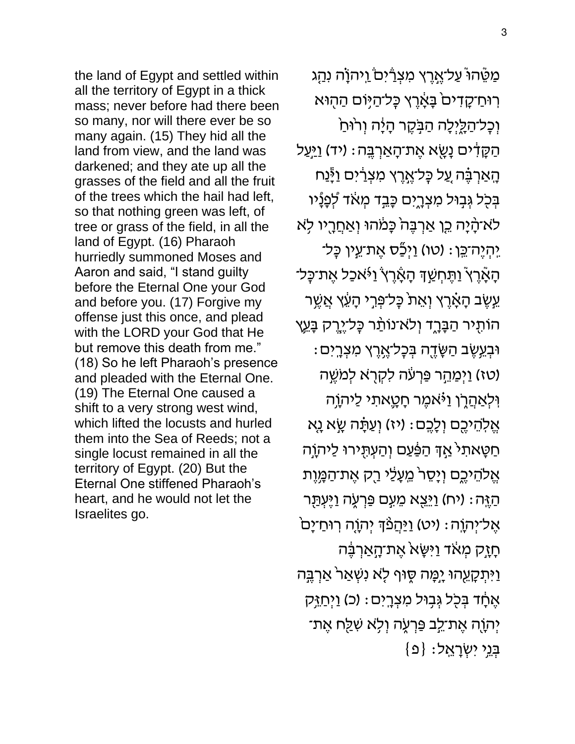the land of Egypt and settled within all the territory of Egypt in a thick mass; never before had there been so many, nor will there ever be so many again. (15) They hid all the land from view, and the land was darkened; and they ate up all the grasses of the field and all the fruit of the trees which the hail had left, so that nothing green was left, of tree or grass of the field, in all the land of Egypt. (16) Pharaoh hurriedly summoned Moses and Aaron and said, "I stand guilty before the Eternal One your God and before you. (17) Forgive my offense just this once, and plead with the LORD your God that He but remove this death from me." (18) So he left Pharaoh's presence and pleaded with the Eternal One. (19) The Eternal One caused a shift to a very strong west wind, which lifted the locusts and hurled them into the Sea of Reeds; not a single locust remained in all the territory of Egypt. (20) But the Eternal One stiffened Pharaoh's heart, and he would not let the Israelites go.

מַמֵּ֫הוּ עַל־אֱרֶץ מִצְרַ֫יִם וַיִּהוָׂה נִהָג רִוּחַ־קָדִיםׂ בָּאָׂרֶץ כְּל־הַיָּוֹם הַהָוּא וְכָל־הַלֵּיְלָה הַבְּקֶר הָיָ֫ה וְרוּחַ ֿהַקָּדִים נָשֶׂא אֶת־הָאַרְבֶּה: (יד) ו<u>ַי</u>ּעַל ֿהָאַרְבֶּ֫ה עֲל כְּל־אֶרֶץ מִצְרַ֫יִּם וַיְ<sub>ּ</sub>ָּנַח בְּכָל גְּבִוּל מִצְרֶיִם כָּבֵד מְאֹד לְפָנָֿיו ֿלֹא־הָ֫יָה כֵּן אַרְבֶּה ּבְּמֹהוּ וְאַחֲרֶיו לָא ַיִּהְיֶה־כֵּן: (טו) וַיְכַָּׂס אֶת־עֵין כָּל־ ֿהָאָ֫רֶץ ֿוַתֶּחְשַׁךָּ הָאָ֫רֶץ וַ•ֿאכַל אֶת־כָּל־ עֵשֶׁב הָאָ֫רֶץ וְאֵת כְּל־פְּרֵי הָעֵׁץ אֲשֶׁר ֿהוֹתָיר הַבָּרֶד וְלֹא־נוֹתַר כָּל־יֶרֶק בָּעֱץ ּוּבְעֵשֶׂב הַשָּׂדֶה בְּכָל־אֶרֶץ מִצְרָיִם : ֿ(טז) וַיְמַחֵר פַּרְעֹה לִקְרָא לְמֹשֶׁה וִּלְאַהֲלֶן וַ<sup>גָּ</sup>אֹמֶר חָטֳָאתִי לַיֹּהוָה אֱלְהֵיכֶם וְלָכֶם: (יז) וְעַתָּה שָׂא נָא ּחַטָּאתִל אַדְּ הַפַּׁעַם וְהַעְתָּירוּ לַיהוָה אֱלֹהֵיכֶם וְיָסֵר<sup>י</sup> מֵעָלַי רַק אֶת־הַמֶּוֶת ֿהַ $\gamma$ ָה׃ (יח) וַ $\gamma$ ֵצָא מֵעְם פַּרְעֶׂה וַיֶּעְתַּר ּאֱלֹיִהְוֶה: (יט) <u>וַיַּהֲ</u>פֵּ֫דְּ יְהוָה רְוּחַ־יָם<sup>ּי</sup> ֹתָזֶק מְאֹד וַיִּשָּׂא אֶת־הָאַרְבֶּה ַוַיִּתְקָעֵהוּ יָמָ֣ה סֶוּף לָא נִשְׁאַר ּאַרְבֶּה אֶחָד בְּכָל גְּבָוּל מִצְרֵיִם: (כ) וַיְחַיָּק יִּהְוֶ֫ה אֵת־לֵב פַּרְעָׂה וִלְא שִׁלַּח אֵת־  $\{e\}$  : בְּנֵי יִשְׂרָאֱל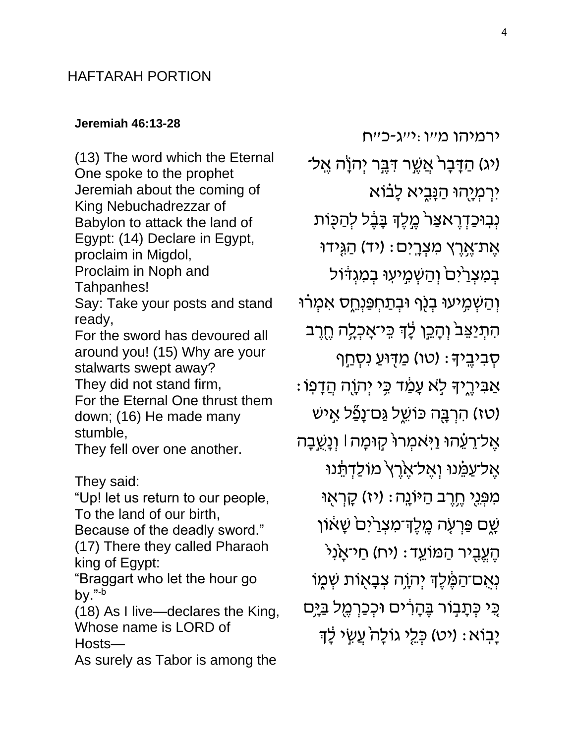## HAFTARAH PORTION

#### **[Jeremiah 46:13-28](https://www.sefaria.org/Jeremiah.46.13-28)**

(13) The word which the Eternal One spoke to the prophet Jeremiah about the coming of King Nebuchadrezzar of Babylon to attack the land of Egypt: (14) Declare in Egypt, proclaim in Migdol, Proclaim in Noph and Tahpanhes! Say: Take your posts and stand ready, For the sword has devoured all around you! (15) Why are your stalwarts swept away? They did not stand firm, For the Eternal One thrust them down; (16) He made many stumble, They fell over one another. They said: "Up! let us return to our people, To the land of our birth,

Because of the deadly sword." (17) There they called Pharaoh king of Egypt:

"Braggart who let the hour go by."-b

(18) As I live—declares the King, Whose name is LORD of Hosts—

As surely as Tabor is among the

ירמיהו מ״ו :י״ג-כ״ח (יג) הַדָּבָרֹ אֲשֱר דָּבֵּ֑ר יְהוָׂה אֱל־ יִרְמְיָהוּ הַנָּבְיא לָבֹוֹא נְבִוּכַדְרֶאצַר<sup>י</sup> מֶלֶדְ בָּבֶל לְהַכָּוֹת ּאֶת־אֱרֶץ מִצְרֵיִּם: (יד) הַגְּידוּ בְמִצְרַיִּםׂ וְהַשְׁמִיעִוּ בְמִגְדֹוֹל וְהַשְׁמִ*י*עוּ בְנָף וּבְתַחְפַּנְחֵס אִמְרוּ ֹהִתְיַצֵּב ׁוְהָכֵן לָׂדְ כְּיֹאָכְלֶה חֶרֵב ּסְבִיבֵיִדּ: (טו) מַדְּוּעַ נִסְחַף ָאַבִּירֵיִךָּ לְאַ עָמַד כְּי יִהְוֶה הֲדָפוֹ טז) הרְבָּה כּוֹשֵׂל <u>גַּ</u>ם־נָפַֿל אָישׁ) ּאֱל־רֵעֵ֫הוּ וַיְּאמְרוּ קָוּמָה | וְנָשֵ֥בָה אֱל־עַמֶּנוּ וְאֱל־אֶרֶץ מוֹלַדְתֵּנוּ מִפְּנֵי חֶוֶרָב הַיּוֹנֵה: (יז) קָרְאָוּ ֿשֶׁם פַּרְעָה מֶלֶד<sup>ָ-</sup>מִצְרַ<sup>י</sup>ִּם שָׁאוֹן ֿהֶעֱבָיר הַמּוֹעֵד: (יח) חַי־אָנִי ֿנְאָם־הַמֶּ֫לֶֽךְ יְהוָה צְבָאָוֹת שְׁמֶוֹ ְּכֵי כְּתָבְוֹר בֶּהָרִים וּכְכַרְמֶל בַ*י*ָּם ַיָּבִוֹא: (יט) כְּלֵי גוֹלָה עֲשֶׂי לָיִ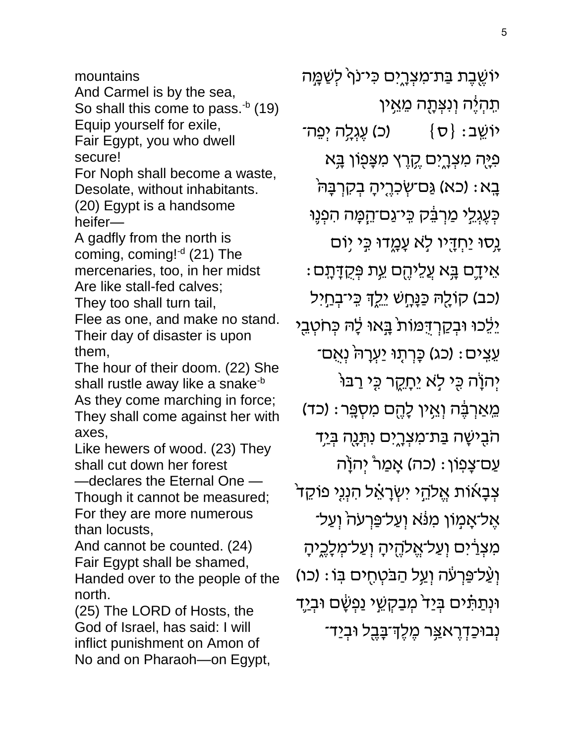So shall this come to pass. $b$  (19) Equip yourself for exile, Fair Egypt, you who dwell secure! For Noph shall become a waste, Desolate, without inhabitants. (20) Egypt is a handsome heifer— A gadfly from the north is coming, coming!<sup>-d</sup> (21) The mercenaries, too, in her midst Are like stall-fed calves; They too shall turn tail,

And Carmel is by the sea,

mountains

Flee as one, and make no stand. Their day of disaster is upon them,

The hour of their doom. (22) She shall rustle away like a snake<sup>-b</sup> As they come marching in force; They shall come against her with axes,

Like hewers of wood. (23) They shall cut down her forest

—declares the Eternal One — Though it cannot be measured; For they are more numerous than locusts,

And cannot be counted. (24) Fair Egypt shall be shamed, Handed over to the people of the north.

(25) The LORD of Hosts, the God of Israel, has said: I will inflict punishment on Amon of No and on Pharaoh—on Egypt,

ֿיוֹשֶׁבֶת בַּת־מִצְרֶיִם כִּי־נוִי לְשַׁמֲה ְּתִהְיֶ**֫ה וְנִצְ**תָָה מֵאֵין יוֹשֵׁב: {ס} (כ) עֵגְלֶה יִפֵה־ ּפְיָה מִצְרֶיִם קֶרֶץ מִצְּפָוֹן בָּא בָא: (כא) גַּם־שְׂכִרֶיהָ בְקִרְבָּהֹּ ּכְּעֶגְלֵי מַרְבֵּק כִּיֹּגַם־הֵמָּה הִפְנֶוּ נָסוּ יַחְדָיו לִא עָמֳדוּ כִּי יָוֹם : אֵידֶם בָּא עֲלֵיהֶם <u>ע</u>ִת פְּקֻדָּתָם (כב) קוֹלֶהּ כַּנָּחָשׁ יֵלֶךְ כֵּי־בְחַיִל יֵלֵכוּ וּבְקַרְדָּמוֹת בְּאוּ לָה כְּחֹטְבֵי ּעֵצִים: (כג) כָּרְתָוּ יַעְרָה<sup>י</sup> נְאָם־ יְהוָׂה כָּי לָא יֵחָקֶר כָּי רַבּוּ ֹמְאַרְבֶּ֫ה וְאֵין לָהֶם מִסְפֵּר: (כד) ֿהֹבָישָׁה בַּת־מִצְרֶיִם נִתְּנֻה בְּיַד ּעַם־צָפִוּן : (כֹה) אָמַר יְהוָׂה צְבָאוֹת אֱלֹהֵי יִשְׂרָאֵ֫ל הִנְנִי פוֹקֵד ּ אֶל־אָמְוֹן מִנֹּא וְעַל־פַּרְעֹהֹ וְעַל־ מִצְרַיִּם וְעַל־אֱלֹהֶיהָ וְעַל־מְלָכֶיהָ וְעַ*ּל־פַּרְעֹׁה וְעַל הַבּטְחָים בִּו*ֹ: (כו*ֹ)* וּנְתַתָּ֫ים בְּיַד<sup>י</sup> מְבַקְשֵׁי נַפְשָׂם וּבְיַדִ ַנְבוּכַדְרֶא<u>צ</u>ְר מֶלֶדְ־בָּבֶל וּבְיַד־